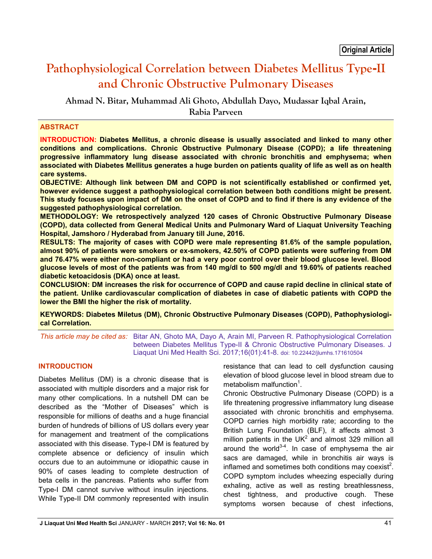# **Pathophysiological Correlation between Diabetes Mellitus Type-II and Chronic Obstructive Pulmonary Diseases**

**Ahmad N. Bitar, Muhammad Ali Ghoto, Abdullah Dayo, Mudassar Iqbal Arain, Rabia Parveen**

#### **ABSTRACT**

**INTRODUCTION: Diabetes Mellitus, a chronic disease is usually associated and linked to many other conditions and complications. Chronic Obstructive Pulmonary Disease (COPD); a life threatening progressive inflammatory lung disease associated with chronic bronchitis and emphysema; when associated with Diabetes Mellitus generates a huge burden on patients quality of life as well as on health care systems.**

**OBJECTIVE: Although link between DM and COPD is not scientifically established or confirmed yet, however evidence suggest a pathophysiological correlation between both conditions might be present. This study focuses upon impact of DM on the onset of COPD and to find if there is any evidence of the suggested pathophysiological correlation.**

**METHODOLOGY: We retrospectively analyzed 120 cases of Chronic Obstructive Pulmonary Disease (COPD), data collected from General Medical Units and Pulmonary Ward of Liaquat University Teaching Hospital, Jamshoro / Hyderabad from January till June, 2016.**

**RESULTS: The majority of cases with COPD were male representing 81.6% of the sample population, almost 90% of patients were smokers or ex-smokers, 42.50% of COPD patients were suffering from DM and 76.47% were either non-compliant or had a very poor control over their blood glucose level. Blood glucose levels of most of the patients was from 140 mg/dl to 500 mg/dl and 19.60% of patients reached diabetic ketoacidosis (DKA) once at least.** 

**CONCLUSION: DM increases the risk for occurrence of COPD and cause rapid decline in clinical state of the patient. Unlike cardiovascular complication of diabetes in case of diabetic patients with COPD the lower the BMI the higher the risk of mortality.**

**KEYWORDS: Diabetes Miletus (DM), Chronic Obstructive Pulmonary Diseases (COPD), Pathophysiological Correlation.**

*This article may be cited as:* Bitar AN, Ghoto MA, Dayo A, Arain MI, Parveen R. Pathophysiological Correlation between Diabetes Mellitus Type-II & Chronic Obstructive Pulmonary Diseases. J Liaquat Uni Med Health Sci. 2017;16(01):41-8. doi: 10.22442/jlumhs.171610504

## **INTRODUCTION**

Diabetes Mellitus (DM) is a chronic disease that is associated with multiple disorders and a major risk for many other complications. In a nutshell DM can be described as the "Mother of Diseases" which is responsible for millions of deaths and a huge financial burden of hundreds of billions of US dollars every year for management and treatment of the complications associated with this disease. Type-I DM is featured by complete absence or deficiency of insulin which occurs due to an autoimmune or idiopathic cause in 90% of cases leading to complete destruction of beta cells in the pancreas. Patients who suffer from Type-I DM cannot survive without insulin injections. While Type-II DM commonly represented with insulin resistance that can lead to cell dysfunction causing elevation of blood glucose level in blood stream due to metabolism malfunction<sup>1</sup>.

Chronic Obstructive Pulmonary Disease (COPD) is a life threatening progressive inflammatory lung disease associated with chronic bronchitis and emphysema. COPD carries high morbidity rate; according to the British Lung Foundation (BLF), it affects almost 3 million patients in the UK $2$  and almost 329 million all around the world $3-4$ . In case of emphysema the air sacs are damaged, while in bronchitis air ways is inflamed and sometimes both conditions may coexist<sup>2</sup>. COPD symptom includes wheezing especially during exhaling, active as well as resting breathlessness, chest tightness, and productive cough. These symptoms worsen because of chest infections,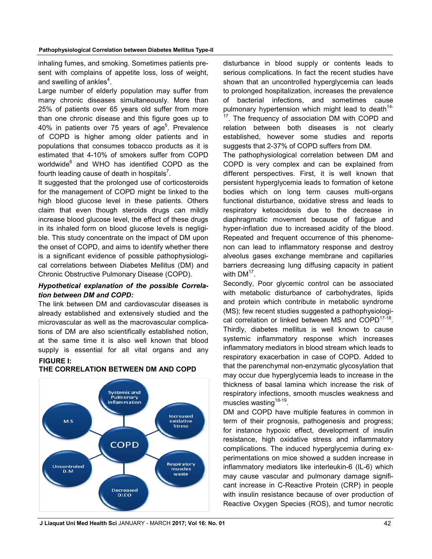inhaling fumes, and smoking. Sometimes patients present with complains of appetite loss, loss of weight, and swelling of ankles<sup>4</sup>.

Large number of elderly population may suffer from many chronic diseases simultaneously. More than 25% of patients over 65 years old suffer from more than one chronic disease and this figure goes up to 40% in patients over 75 years of age<sup>5</sup>. Prevalence of COPD is higher among older patients and in populations that consumes tobacco products as it is estimated that 4-10% of smokers suffer from COPD worldwide<sup>6</sup> and WHO has identified COPD as the fourth leading cause of death in hospitals<sup>7</sup>.

It suggested that the prolonged use of corticosteroids for the management of COPD might be linked to the high blood glucose level in these patients. Others claim that even though steroids drugs can mildly increase blood glucose level, the effect of these drugs in its inhaled form on blood glucose levels is negligible. This study concentrate on the impact of DM upon the onset of COPD, and aims to identify whether there is a significant evidence of possible pathophysiological correlations between Diabetes Mellitus (DM) and Chronic Obstructive Pulmonary Disease (COPD).

## *Hypothetical explanation of the possible Correlation between DM and COPD:*

The link between DM and cardiovascular diseases is already established and extensively studied and the microvascular as well as the macrovascular complications of DM are also scientifically established notion, at the same time it is also well known that blood supply is essential for all vital organs and any **FIGURE I:** 



#### **THE CORRELATION BETWEEN DM AND COPD**

disturbance in blood supply or contents leads to serious complications. In fact the recent studies have shown that an uncontrolled hyperglycemia can leads to prolonged hospitalization, increases the prevalence of bacterial infections, and sometimes cause pulmonary hypertension which might lead to death<sup>14-</sup> <sup>17</sup>. The frequency of association DM with COPD and relation between both diseases is not clearly established, however some studies and reports suggests that 2-37% of COPD suffers from DM.

The pathophysiological correlation between DM and COPD is very complex and can be explained from different perspectives. First, it is well known that persistent hyperglycemia leads to formation of ketone bodies which on long term causes multi-organs functional disturbance, oxidative stress and leads to respiratory ketoacidosis due to the decrease in diaphragmatic movement because of fatigue and hyper-inflation due to increased acidity of the blood. Repeated and frequent occurrence of this phenomenon can lead to inflammatory response and destroy alveolus gases exchange membrane and capillaries barriers decreasing lung diffusing capacity in patient with  $DM<sup>17</sup>$ .

Secondly, Poor glycemic control can be associated with metabolic disturbance of carbohydrates, lipids and protein which contribute in metabolic syndrome (MS); few recent studies suggested a pathophysiological correlation or linked between MS and COPD<sup>17-18</sup>. Thirdly, diabetes mellitus is well known to cause systemic inflammatory response which increases inflammatory mediators in blood stream which leads to respiratory exacerbation in case of COPD. Added to that the parenchymal non-enzymatic glycosylation that may occur due hyperglycemia leads to increase in the thickness of basal lamina which increase the risk of respiratory infections, smooth muscles weakness and muscles wasting $18-19$ .

DM and COPD have multiple features in common in term of their prognosis, pathogenesis and progress; for instance hypoxic effect, development of insulin resistance, high oxidative stress and inflammatory complications. The induced hyperglycemia during experimentations on mice showed a sudden increase in inflammatory mediators like interleukin-6 (IL-6) which may cause vascular and pulmonary damage significant increase in C-Reactive Protein (CRP) in people with insulin resistance because of over production of Reactive Oxygen Species (ROS), and tumor necrotic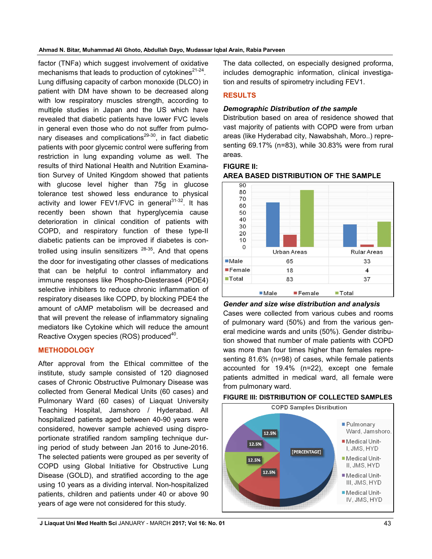**Ahmad N. Bitar, Muhammad Ali Ghoto, Abdullah Dayo, Mudassar Iqbal Arain, Rabia Parveen**

factor (TNFa) which suggest involvement of oxidative mechanisms that leads to production of cytokines $2^{1-24}$ . Lung diffusing capacity of carbon monoxide (DLCO) in patient with DM have shown to be decreased along with low respiratory muscles strength, according to multiple studies in Japan and the US which have revealed that diabetic patients have lower FVC levels in general even those who do not suffer from pulmonary diseases and complications<sup>29-30</sup>, in fact diabetic patients with poor glycemic control were suffering from restriction in lung expanding volume as well. The results of third National Health and Nutrition Examination Survey of United Kingdom showed that patients with glucose level higher than 75g in glucose tolerance test showed less endurance to physical activity and lower FEV1/FVC in general $31-32$ . It has recently been shown that hyperglycemia cause deterioration in clinical condition of patients with COPD, and respiratory function of these type-II diabetic patients can be improved if diabetes is controlled using insulin sensitizers  $28-35$ . And that opens the door for investigating other classes of medications that can be helpful to control inflammatory and immune responses like Phospho-Diesterase4 (PDE4) selective inhibiters to reduce chronic inflammation of respiratory diseases like COPD, by blocking PDE4 the amount of cAMP metabolism will be decreased and that will prevent the release of inflammatory signaling mediators like Cytokine which will reduce the amount Reactive Oxygen species (ROS) produced<sup>40</sup>.

# **METHODOLOGY**

After approval from the Ethical committee of the institute, study sample consisted of 120 diagnosed cases of Chronic Obstructive Pulmonary Disease was collected from General Medical Units (60 cases) and Pulmonary Ward (60 cases) of Liaquat University Teaching Hospital, Jamshoro / Hyderabad. All hospitalized patients aged between 40-90 years were considered, however sample achieved using disproportionate stratified random sampling technique during period of study between Jan 2016 to June-2016. The selected patients were grouped as per severity of COPD using Global Initiative for Obstructive Lung Disease (GOLD), and stratified according to the age using 10 years as a dividing interval. Non-hospitalized patients, children and patients under 40 or above 90 years of age were not considered for this study.

The data collected, on especially designed proforma, includes demographic information, clinical investigation and results of spirometry including FEV1.

# **RESULTS**

## *Demographic Distribution of the sample*

Distribution based on area of residence showed that vast majority of patients with COPD were from urban areas (like Hyderabad city, Nawabshah, Moro..) representing 69.17% (n=83), while 30.83% were from rural areas.

**FIGURE II: AREA BASED DISTRIBUTION OF THE SAMPLE**



*Gender and size wise distribution and analysis* Cases were collected from various cubes and rooms of pulmonary ward (50%) and from the various general medicine wards and units (50%). Gender distribution showed that number of male patients with COPD was more than four times higher than females representing 81.6% (n=98) of cases, while female patients accounted for 19.4% (n=22), except one female patients admitted in medical ward, all female were from pulmonary ward.



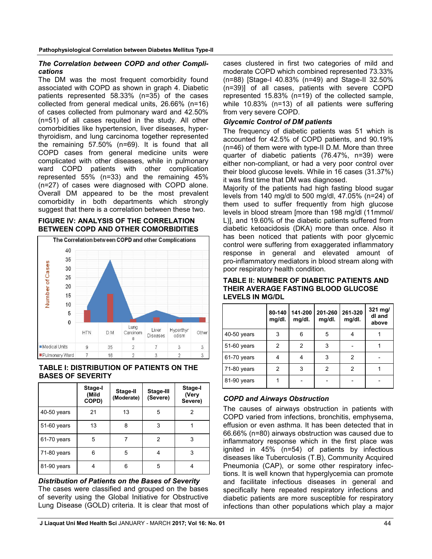### *The Correlation between COPD and other Complications*

The DM was the most frequent comorbidity found associated with COPD as shown in graph 4. Diabetic patients represented 58.33% (n=35) of the cases collected from general medical units, 26.66% (n=16) of cases collected from pulmonary ward and 42.50% (n=51) of all cases requited in the study. All other comorbidities like hypertension, liver diseases, hyperthyroidism, and lung carcinoma together represented the remaining 57.50% (n=69). It is found that all COPD cases from general medicine units were complicated with other diseases, while in pulmonary ward COPD patients with other complication represented 55% (n=33) and the remaining 45% (n=27) of cases were diagnosed with COPD alone. Overall DM appeared to be the most prevalent comorbidity in both departments which strongly suggest that there is a correlation between these two.

### **FIGURE IV: ANALYSIS OF THE CORRELATION BETWEEN COPD AND OTHER COMORBIDITIES**



## **TABLE I: DISTRIBUTION OF PATIENTS ON THE BASES OF SEVERITY**

|             | Stage-I<br>(Mild<br>COPD) | Stage-II<br>(Moderate) | Stage-III<br>(Severe) | Stage-I<br>(Very<br>Severe) |
|-------------|---------------------------|------------------------|-----------------------|-----------------------------|
| 40-50 years | 21                        | 13                     | 5                     | 2                           |
| 51-60 years | 13                        | 8                      | 3                     |                             |
| 61-70 years | 5                         |                        | 2                     | 3                           |
| 71-80 years | 6                         | 5                      | 4                     | 3                           |
| 81-90 years | 4                         | 6                      | 5                     | 4                           |

*Distribution of Patients on the Bases of Severity* The cases were classified and grouped on the bases of severity using the Global Initiative for Obstructive Lung Disease (GOLD) criteria. It is clear that most of cases clustered in first two categories of mild and moderate COPD which combined represented 73.33% (n=88) [Stage-I 40.83% (n=49) and Stage-II 32.50% (n=39)] of all cases, patients with severe COPD represented 15.83% (n=19) of the collected sample, while 10.83% (n=13) of all patients were suffering from very severe COPD.

## *Glycemic Control of DM patients*

The frequency of diabetic patients was 51 which is accounted for 42.5% of COPD patients, and 90.19% (n=46) of them were with type-II D.M. More than three quarter of diabetic patients (76.47%, n=39) were either non-compliant, or had a very poor control over their blood glucose levels. While in 16 cases (31.37%) it was first time that DM was diagnosed.

Majority of the patients had high fasting blood sugar levels from 140 mg/dl to 500 mg/dl, 47.05% (n=24) of them used to suffer frequently from high glucose levels in blood stream [more than 198 mg/dl (11mmol/ L)], and 19.60% of the diabetic patients suffered from diabetic ketoacidosis (DKA) more than once. Also it has been noticed that patients with poor glycemic control were suffering from exaggerated inflammatory response in general and elevated amount of pro-inflammatory mediators in blood stream along with poor respiratory health condition.

| TABLE II: NUMBER OF DIABETIC PATIENTS AND |
|-------------------------------------------|
| THEIR AVERAGE FASTING BLOOD GLUCOSE       |
| <b>LEVELS IN MG/DL</b>                    |

|               | 80-140<br>mg/dl. | 141-200<br>mg/dl. | 201-260<br>mg/dl. | 261-320<br>mg/dl. | 321 mg/<br>dl and<br>above |
|---------------|------------------|-------------------|-------------------|-------------------|----------------------------|
| $40-50$ years | 3                | 6                 | 5                 | 4                 |                            |
| 51-60 years   | 2                | $\overline{2}$    | 3                 |                   |                            |
| 61-70 years   | 4                | 4                 | 3                 | 2                 |                            |
| 71-80 years   | $\overline{2}$   | 3                 | 2                 | 2                 |                            |
| 81-90 years   |                  |                   |                   |                   |                            |

# *COPD and Airways Obstruction*

The causes of airways obstruction in patients with COPD varied from infections, bronchitis, emphysema, effusion or even asthma. It has been detected that in 66.66% (n=80) airways obstruction was caused due to inflammatory response which in the first place was ignited in 45% (n=54) of patients by infectious diseases like Tuberculosis (T.B), Community Acquired Pneumonia (CAP), or some other respiratory infections. It is well known that hyperglycemia can promote and facilitate infectious diseases in general and specifically here repeated respiratory infections and diabetic patients are more susceptible for respiratory infections than other populations which play a major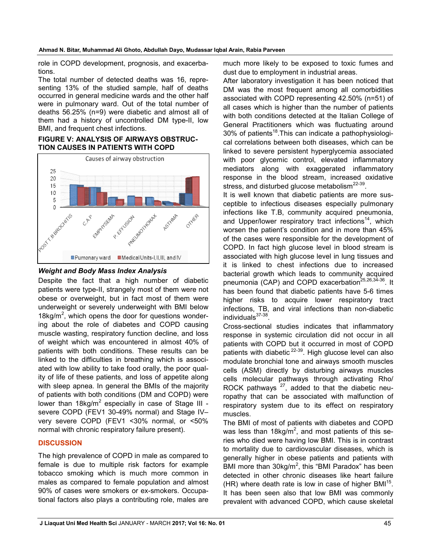role in COPD development, prognosis, and exacerbations.

The total number of detected deaths was 16, representing 13% of the studied sample, half of deaths occurred in general medicine wards and the other half were in pulmonary ward. Out of the total number of deaths 56.25% (n=9) were diabetic and almost all of them had a history of uncontrolled DM type-II, low BMI, and frequent chest infections.

#### **FIGURE V: ANALYSIS OF AIRWAYS OBSTRUC-TION CAUSES IN PATIENTS WITH COPD**



### *Weight and Body Mass Index Analysis*

Despite the fact that a high number of diabetic patients were type-II, strangely most of them were not obese or overweight, but in fact most of them were underweight or severely underweight with BMI below 18kg/ $m^2$ , which opens the door for questions wondering about the role of diabetes and COPD causing muscle wasting, respiratory function decline, and loss of weight which was encountered in almost 40% of patients with both conditions. These results can be linked to the difficulties in breathing which is associated with low ability to take food orally, the poor quality of life of these patients, and loss of appetite along with sleep apnea. In general the BMIs of the majority of patients with both conditions (DM and COPD) were lower than  $18kg/m^2$  especially in case of Stage III severe COPD (FEV1 30-49% normal) and Stage IV– very severe COPD (FEV1 <30% normal, or <50% normal with chronic respiratory failure present).

## **DISCUSSION**

The high prevalence of COPD in male as compared to female is due to multiple risk factors for example tobacco smoking which is much more common in males as compared to female population and almost 90% of cases were smokers or ex-smokers. Occupational factors also plays a contributing role, males are much more likely to be exposed to toxic fumes and dust due to employment in industrial areas.

After laboratory investigation it has been noticed that DM was the most frequent among all comorbidities associated with COPD representing 42.50% (n=51) of all cases which is higher than the number of patients with both conditions detected at the Italian College of General Practitioners which was fluctuating around  $30\%$  of patients<sup>18</sup>. This can indicate a pathophysiological correlations between both diseases, which can be linked to severe persistent hyperglycemia associated with poor glycemic control, elevated inflammatory mediators along with exaggerated inflammatory response in the blood stream, increased oxidative stress, and disturbed glucose metabolism $^{22-39}$ .

It is well known that diabetic patients are more susceptible to infectious diseases especially pulmonary infections like T.B, community acquired pneumonia, and Upper/lower respiratory tract infections<sup>14</sup>, which worsen the patient's condition and in more than 45% of the cases were responsible for the development of COPD. In fact high glucose level in blood stream is associated with high glucose level in lung tissues and it is linked to chest infections due to increased bacterial growth which leads to community acquired pneumonia (CAP) and COPD exacerbation<sup>25,26,34-36</sup>. It has been found that diabetic patients have 5-6 times higher risks to acquire lower respiratory tract infections, TB, and viral infections than non-diabetic individuals<sup>37-38</sup>.

Cross-sectional studies indicates that inflammatory response in systemic circulation did not occur in all patients with COPD but it occurred in most of COPD patients with diabetic  $2^{2-39}$ . High glucose level can also modulate bronchial tone and airways smooth muscles cells (ASM) directly by disturbing airways muscles cells molecular pathways through activating Rho/ ROCK pathways  $27$ , added to that the diabetic neuropathy that can be associated with malfunction of respiratory system due to its effect on respiratory muscles.

The BMI of most of patients with diabetes and COPD was less than 18kg/m<sup>2</sup>, and most patients of this series who died were having low BMI. This is in contrast to mortality due to cardiovascular diseases, which is generally higher in obese patients and patients with BMI more than  $30kg/m^2$ , this "BMI Paradox" has been detected in other chronic diseases like heart failure (HR) where death rate is low in case of higher  $BM1^{15}$ . It has been seen also that low BMI was commonly prevalent with advanced COPD, which cause skeletal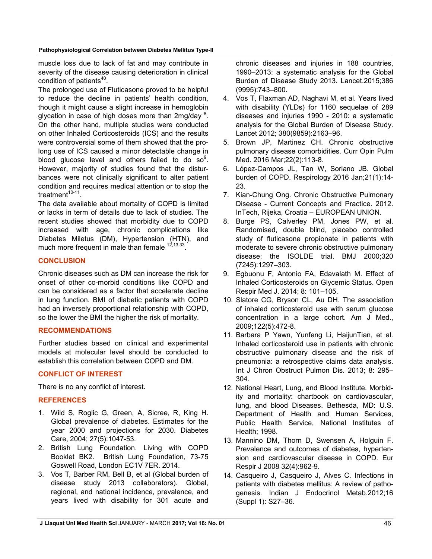muscle loss due to lack of fat and may contribute in severity of the disease causing deterioration in clinical condition of patients<sup>40</sup>.

The prolonged use of Fluticasone proved to be helpful to reduce the decline in patients' health condition, though it might cause a slight increase in hemoglobin glycation in case of high doses more than 2mg/day  $8$ . On the other hand, multiple studies were conducted on other Inhaled Corticosteroids (ICS) and the results were controversial some of them showed that the prolong use of ICS caused a minor detectable change in blood glucose level and others failed to do so $9$ . However, majority of studies found that the disturbances were not clinically significant to alter patient condition and requires medical attention or to stop the treatment $10-11$ .

The data available about mortality of COPD is limited or lacks in term of details due to lack of studies. The recent studies showed that morbidity due to COPD increased with age, chronic complications like Diabetes Miletus (DM), Hypertension (HTN), and much more frequent in male than female  $12,13,33$ .

# **CONCLUSION**

Chronic diseases such as DM can increase the risk for onset of other co-morbid conditions like COPD and can be considered as a factor that accelerate decline in lung function. BMI of diabetic patients with COPD had an inversely proportional relationship with COPD, so the lower the BMI the higher the risk of mortality.

## **RECOMMENDATIONS**

Further studies based on clinical and experimental models at molecular level should be conducted to establish this correlation between COPD and DM.

# **CONFLICT OF INTEREST**

There is no any conflict of interest.

# **REFERENCES**

- 1. Wild S, Roglic G, Green, A, Sicree, R, King H. Global prevalence of diabetes. Estimates for the year 2000 and projections for 2030. Diabetes Care, 2004; 27(5):1047-53.
- 2. British Lung Foundation. Living with COPD Booklet BK2. British Lung Foundation, 73-75 Goswell Road, London EC1V 7ER. 2014.
- 3. Vos T, Barber RM, Bell B, et al (Global burden of disease study 2013 collaborators). Global, regional, and national incidence, prevalence, and years lived with disability for 301 acute and

chronic diseases and injuries in 188 countries, 1990–2013: a systematic analysis for the Global Burden of Disease Study 2013. Lancet.2015;386 (9995):743–800.

- 4. Vos T, Flaxman AD, Naghavi M, et al. Years lived with disability (YLDs) for 1160 sequelae of 289 diseases and injuries 1990 - 2010: a systematic analysis for the Global Burden of Disease Study. Lancet 2012; 380(9859):2163–96.
- 5. Brown JP, Martinez CH. Chronic obstructive pulmonary disease comorbidities. Curr Opin Pulm Med. 2016 Mar;22(2):113-8.
- 6. López-Campos JL, Tan W, Soriano JB. Global burden of COPD. Respirology 2016 Jan;21(1):14- 23.
- 7. Kian-Chung Ong. Chronic Obstructive Pulmonary Disease - Current Concepts and Practice. 2012. InTech, Rijeka, Croatia – EUROPEAN UNION.
- 8. Burge PS, Calverley PM, Jones PW, et al. Randomised, double blind, placebo controlled study of fluticasone propionate in patients with moderate to severe chronic obstructive pulmonary disease: the ISOLDE trial. BMJ 2000;320 (7245):1297–303.
- 9. Egbuonu F, Antonio FA, Edavalath M. Effect of Inhaled Corticosteroids on Glycemic Status. Open Respir Med J. 2014; 8: 101–105.
- 10. Slatore CG, Bryson CL, Au DH. The association of inhaled corticosteroid use with serum glucose concentration in a large cohort. Am J Med., 2009;122(5):472-8.
- 11. Barbara P Yawn, Yunfeng Li, HaijunTian, et al. Inhaled corticosteroid use in patients with chronic obstructive pulmonary disease and the risk of pneumonia: a retrospective claims data analysis. Int J Chron Obstruct Pulmon Dis. 2013; 8: 295– 304.
- 12. National Heart, Lung, and Blood Institute. Morbidity and mortality: chartbook on cardiovascular, lung, and blood Diseases. Bethesda, MD: U.S. Department of Health and Human Services, Public Health Service, National Institutes of Health; 1998.
- 13. Mannino DM, Thorn D, Swensen A, Holguin F. Prevalence and outcomes of diabetes, hypertension and cardiovascular disease in COPD. Eur Respir J 2008 32(4):962-9.
- 14. Casqueiro J, Casqueiro J, Alves C. Infections in patients with diabetes mellitus: A review of pathogenesis. Indian J Endocrinol Metab.2012;16 (Suppl 1): S27–36.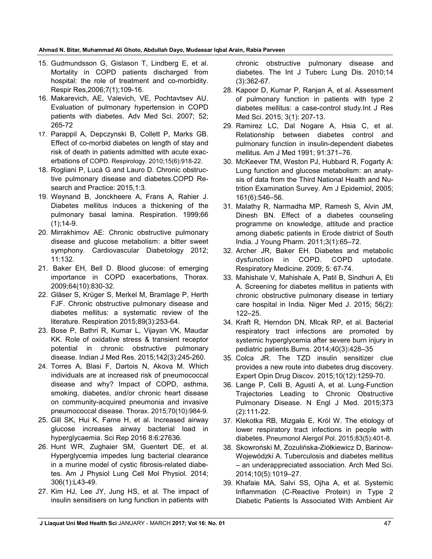#### **Ahmad N. Bitar, Muhammad Ali Ghoto, Abdullah Dayo, Mudassar Iqbal Arain, Rabia Parveen**

- 15. Gudmundsson G, Gislason T, Lindberg E, et al. Mortality in COPD patients discharged from hospital: the role of treatment and co-morbidity. Respir Res,2006;7(1);109-16.
- 16. Makarevich, AE, Valevich, VE, Pochtavtsev AU. Evaluation of pulmonary hypertension in COPD patients with diabetes. Adv Med Sci. 2007; 52; 265-72
- 17. Parappil A, Depczynski B, Collett P, Marks GB. Effect of co-morbid diabetes on length of stay and risk of death in patients admitted with acute exacerbations of COPD. Respirology. 2010;15(6):918-22.
- 18. Rogliani P, Lucà G and Lauro D. Chronic obstructive pulmonary disease and diabetes.COPD Research and Practice: 2015,1:3.
- 19. Weynand B, Jonckheere A, Frans A, Rahier J. Diabetes mellitus induces a thickening of the pulmonary basal lamina. Respiration. 1999;66  $(1):14-9.$
- 20. Mirrakhimov AE: Chronic obstructive pulmonary disease and glucose metabolism: a bitter sweet symphony. Cardiovascular Diabetology 2012; 11:132.
- 21. Baker EH, Bell D. Blood glucose: of emerging importance in COPD exacerbations, Thorax. 2009;64(10):830-32.
- 22. Gläser S, Krüger S, Merkel M, Bramlage P, Herth FJF. Chronic obstructive pulmonary disease and diabetes mellitus: a systematic review of the literature. Respiration 2015;89(3):253-64.
- 23. Bose P, Bathri R, Kumar L, Vijayan VK, Maudar KK. Role of oxidative stress & transient receptor potential in chronic obstructive pulmonary disease. Indian J Med Res. 2015;142(3):245-260.
- 24. Torres A, Blasi F, Dartois N, Akova M. Which individuals are at increased risk of pneumococcal disease and why? Impact of COPD, asthma, smoking, diabetes, and/or chronic heart disease on community-acquired pneumonia and invasive pneumococcal disease. Thorax. 2015;70(10):984-9.
- 25. Gill SK, Hui K, Farne H, et al. Increased airway glucose increases airway bacterial load in hyperglycaemia. Sci Rep 2016 8:6:27636.
- 26. Hunt WR, Zughaier SM, Guentert DE, et al. Hyperglycemia impedes lung bacterial clearance in a murine model of cystic fibrosis-related diabetes. Am J Physiol Lung Cell Mol Physiol. 2014; 306(1):L43-49.
- 27. Kim HJ, Lee JY, Jung HS, et al. The impact of insulin sensitisers on lung function in patients with

chronic obstructive pulmonary disease and diabetes. The Int J Tuberc Lung Dis. 2010;14 (3):362-67.

- 28. Kapoor D, Kumar P, Ranjan A, et al. Assessment of pulmonary function in patients with type 2 diabetes mellitus: a case-control study.Int J Res Med Sci. 2015; 3(1): 207-13.
- 29. Ramirez LC, Dal Nogare A, Hsia C, et al. Relationship between diabetes control and pulmonary function in insulin-dependent diabetes mellitus. Am J Med 1991; 91:371–76.
- 30. McKeever TM, Weston PJ, Hubbard R, Fogarty A: Lung function and glucose metabolism: an analysis of data from the Third National Health and Nutrition Examination Survey. Am J Epidemiol, 2005; 161(6):546–56.
- 31. Malathy R, Narmadha MP, Ramesh S, Alvin JM, Dinesh BN. Effect of a diabetes counseling programme on knowledge, attitude and practice among diabetic patients in Erode district of South India. J Young Pharm. 2011;3(1):65–72.
- 32. Archer JR, Baker EH. Diabetes and metabolic dysfunction in COPD. COPD uptodate. Respiratory Medicine. 2009; 5: 67-74.
- 33. Mahishale V, Mahishale A, Patil B, Sindhuri A, Eti A. Screening for diabetes mellitus in patients with chronic obstructive pulmonary disease in tertiary care hospital in India. Niger Med J. 2015; 56(2): 122–25.
- 34. Kraft R, Herndon DN, Mlcak RP, et al. Bacterial respiratory tract infections are promoted by systemic hyperglycemia after severe burn injury in pediatric patients.Burns. 2014;40(3):428–35
- 35. Colca JR. The TZD insulin sensitizer clue provides a new route into diabetes drug discovery. Expert Opin Drug Discov. 2015;10(12):1259-70.
- 36. Lange P, Celli B, Agustí A, et al. Lung-Function Trajectories Leading to Chronic Obstructive Pulmonary Disease. N Engl J Med. 2015;373 (2):111-22.
- 37. Klekotka RB, Mizgała E, Król W. The etiology of lower respiratory tract infections in people with diabetes. Pneumonol Alergol Pol. 2015;83(5):401-8.
- 38. Skowroński M, Zozulińska-Ziółkiewicz D, Barinow-Wojewódzki A. Tuberculosis and diabetes mellitus – an underappreciated association. Arch Med Sci. 2014;10(5):1019–27.
- 39. Khafaie MA, Salvi SS, Ojha A, et al. Systemic Inflammation (C-Reactive Protein) in Type 2 Diabetic Patients Is Associated With Ambient Air